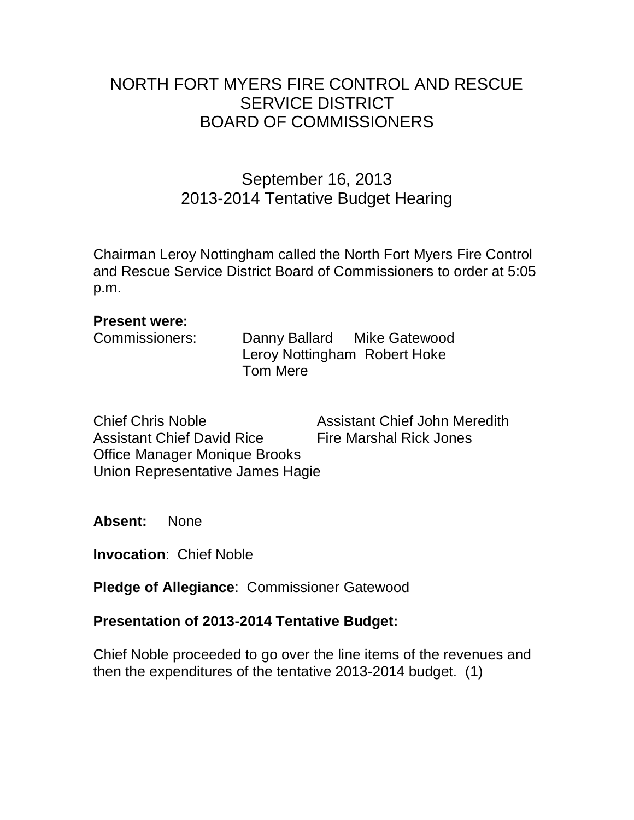# NORTH FORT MYERS FIRE CONTROL AND RESCUE SERVICE DISTRICT BOARD OF COMMISSIONERS

# September 16, 2013 2013-2014 Tentative Budget Hearing

Chairman Leroy Nottingham called the North Fort Myers Fire Control and Rescue Service District Board of Commissioners to order at 5:05 p.m.

#### **Present were:**

| Danny Ballard Mike Gatewood  |  |
|------------------------------|--|
| Leroy Nottingham Robert Hoke |  |
| Tom Mere                     |  |
|                              |  |

Chief Chris Noble Assistant Chief John Meredith Assistant Chief David Rice Fire Marshal Rick Jones Office Manager Monique Brooks Union Representative James Hagie

**Absent:** None

**Invocation**: Chief Noble

**Pledge of Allegiance**: Commissioner Gatewood

### **Presentation of 2013-2014 Tentative Budget:**

Chief Noble proceeded to go over the line items of the revenues and then the expenditures of the tentative 2013-2014 budget. (1)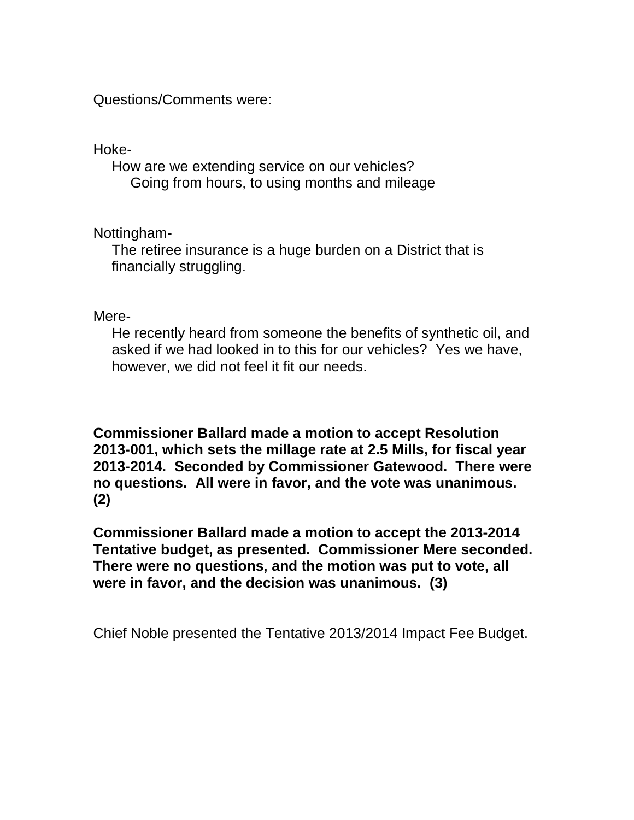Questions/Comments were:

Hoke-

How are we extending service on our vehicles? Going from hours, to using months and mileage

Nottingham-

The retiree insurance is a huge burden on a District that is financially struggling.

Mere-

He recently heard from someone the benefits of synthetic oil, and asked if we had looked in to this for our vehicles? Yes we have, however, we did not feel it fit our needs.

**Commissioner Ballard made a motion to accept Resolution 2013-001, which sets the millage rate at 2.5 Mills, for fiscal year 2013-2014. Seconded by Commissioner Gatewood. There were no questions. All were in favor, and the vote was unanimous. (2)**

**Commissioner Ballard made a motion to accept the 2013-2014 Tentative budget, as presented. Commissioner Mere seconded. There were no questions, and the motion was put to vote, all were in favor, and the decision was unanimous. (3)**

Chief Noble presented the Tentative 2013/2014 Impact Fee Budget.